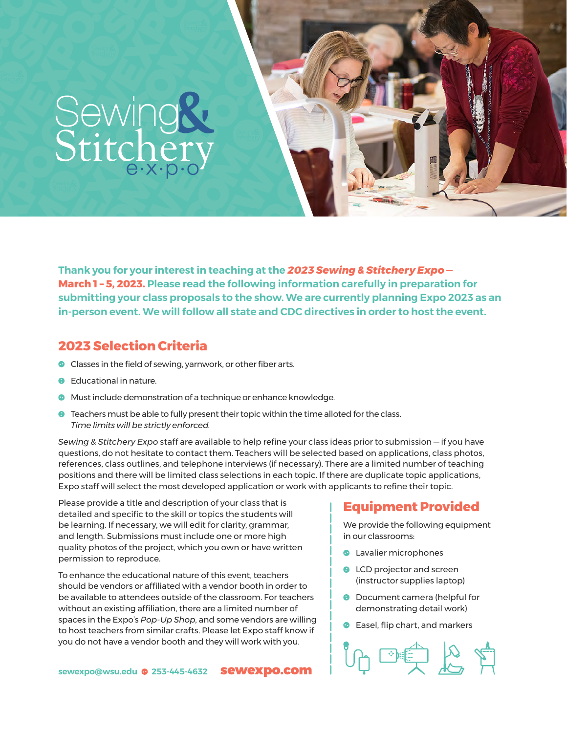# Sewing&<br>Stitchery

**Thank you for your interest in teaching at the** *2023 Sewing & Stitchery Expo***—  March 1 – 5, 2023. Please read the following information carefully in preparation for submitting your class proposals to the show. We are currently planning Expo 2023 as an in-person event. We will follow all state and CDC directives in order to host the event.**

#### **2023 Selection Criteria**

- **C** Classes in the field of sewing, yarnwork, or other fiber arts.
- $\theta$  Educational in nature.
- **O** Must include demonstration of a technique or enhance knowledge.
- $\Theta$  Teachers must be able to fully present their topic within the time alloted for the class. *Time limits will be strictly enforced.*

*Sewing & Stitchery Expo* staff are available to help refine your class ideas prior to submission — if you have questions, do not hesitate to contact them. Teachers will be selected based on applications, class photos, references, class outlines, and telephone interviews (if necessary). There are a limited number of teaching positions and there will be limited class selections in each topic. If there are duplicate topic applications, Expo staff will select the most developed application or work with applicants to refine their topic.

Please provide a title and description of your class that is detailed and specific to the skill or topics the students will be learning. If necessary, we will edit for clarity, grammar, and length. Submissions must include one or more high quality photos of the project, which you own or have written permission to reproduce.

To enhance the educational nature of this event, teachers should be vendors or affiliated with a vendor booth in order to be available to attendees outside of the classroom. For teachers without an existing affiliation, there are a limited number of spaces in the Expo's *Pop-Up Shop*, and some vendors are willing to host teachers from similar crafts. Please let Expo staff know if you do not have a vendor booth and they will work with you.

#### **Equipment Provided**

We provide the following equipment in our classrooms:

- **C** Lavalier microphones
- **O** LCD projector and screen (instructor supplies laptop)
- **O** Document camera (helpful for demonstrating detail work)
- **C** Easel, flip chart, and markers